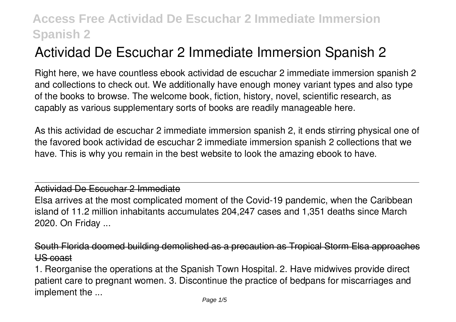# **Actividad De Escuchar 2 Immediate Immersion Spanish 2**

Right here, we have countless ebook **actividad de escuchar 2 immediate immersion spanish 2** and collections to check out. We additionally have enough money variant types and also type of the books to browse. The welcome book, fiction, history, novel, scientific research, as capably as various supplementary sorts of books are readily manageable here.

As this actividad de escuchar 2 immediate immersion spanish 2, it ends stirring physical one of the favored book actividad de escuchar 2 immediate immersion spanish 2 collections that we have. This is why you remain in the best website to look the amazing ebook to have.

#### Actividad De Escuchar 2 Immediate

Elsa arrives at the most complicated moment of the Covid-19 pandemic, when the Caribbean island of 11.2 million inhabitants accumulates 204,247 cases and 1,351 deaths since March 2020. On Friday ...

South Florida doomed building demolished as a precaution as Tropical Storm Elsa approximately US coast

1. Reorganise the operations at the Spanish Town Hospital. 2. Have midwives provide direct patient care to pregnant women. 3. Discontinue the practice of bedpans for miscarriages and implement the ...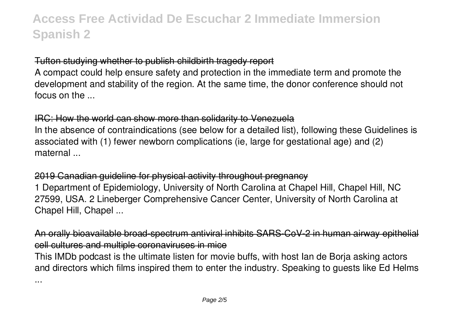### Tufton studying whether to publish childbirth tragedy report

A compact could help ensure safety and protection in the immediate term and promote the development and stability of the region. At the same time, the donor conference should not focus on the ...

#### IRC: How the world can show more than solidarity to Venezuela

In the absence of contraindications (see below for a detailed list), following these Guidelines is associated with (1) fewer newborn complications (ie, large for gestational age) and (2) maternal ...

### 2019 Canadian guideline for physical activity throughout pregnancy

1 Department of Epidemiology, University of North Carolina at Chapel Hill, Chapel Hill, NC 27599, USA. 2 Lineberger Comprehensive Cancer Center, University of North Carolina at Chapel Hill, Chapel ...

ble broad-spectrum antiviral inhibits SARS-CoV-2 in human airway epithelia cell cultures and multiple coronaviruses in mice

This IMDb podcast is the ultimate listen for movie buffs, with host Ian de Borja asking actors and directors which films inspired them to enter the industry. Speaking to guests like Ed Helms

...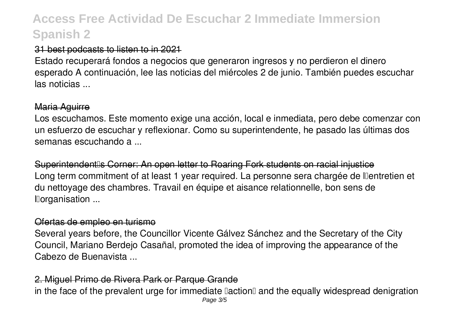### 31 best podcasts to listen to in 2021

Estado recuperará fondos a negocios que generaron ingresos y no perdieron el dinero esperado A continuación, lee las noticias del miércoles 2 de junio. También puedes escuchar las noticias ...

### Maria Aguirre

Los escuchamos. Este momento exige una acción, local e inmediata, pero debe comenzar con un esfuerzo de escuchar y reflexionar. Como su superintendente, he pasado las últimas dos semanas escuchando a ...

Superintendent<sup>®</sup>s Corner: An open letter to Roaring Fork students on racial injustice Long term commitment of at least 1 year required. La personne sera chargée de llentretien et du nettoyage des chambres. Travail en équipe et aisance relationnelle, bon sens de l'organisation ...

#### Ofertas de empleo en turismo

Several years before, the Councillor Vicente Gálvez Sánchez and the Secretary of the City Council, Mariano Berdejo Casañal, promoted the idea of improving the appearance of the Cabezo de Buenavista ...

#### 2. Miguel Primo de Rivera Park or Parque Grande

in the face of the prevalent urge for immediate laction and the equally widespread denigration Page 3/5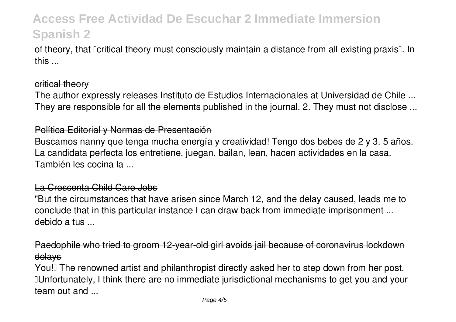of theory, that Deritical theory must consciously maintain a distance from all existing praxis. In this ...

#### critical theory

The author expressly releases Instituto de Estudios Internacionales at Universidad de Chile ... They are responsible for all the elements published in the journal. 2. They must not disclose ...

#### Política Editorial y Normas de Presentación

Buscamos nanny que tenga mucha energía y creatividad! Tengo dos bebes de 2 y 3. 5 años. La candidata perfecta los entretiene, juegan, bailan, lean, hacen actividades en la casa. También les cocina la ...

#### La Crescenta Child Care Jobs

"But the circumstances that have arisen since March 12, and the delay caused, leads me to conclude that in this particular instance I can draw back from immediate imprisonment ... debido a tus ...

## Paedophile who tried to groom 12-year-old girl avoids jail because of coronavirus lockdown delays

You! The renowned artist and philanthropist directly asked her to step down from her post. "Unfortunately, I think there are no immediate jurisdictional mechanisms to get you and your team out and ...